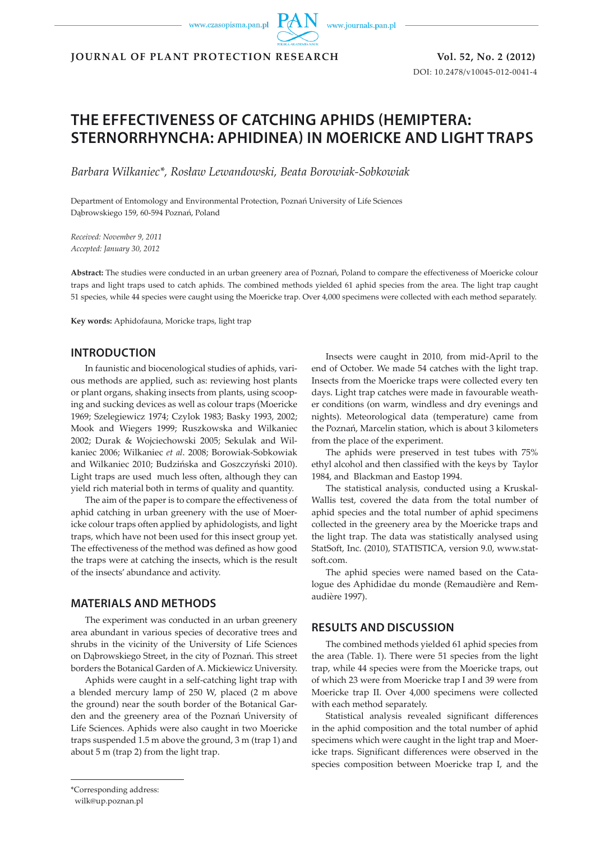www.czasopisma.pan.pl

www.journals.pan.pl

**JOURNAL OF PLANT PROTECTION RESEARCH Vol. 52, No. 2 (2012)**

DOI: 10.2478/v10045-012-0041-4

# **THE EFFECTIVENESS OF CATCHING APHIDS (HEMIPTERA: STERNORRHYNCHA: APHIDINEA) IN MOERICKE AND LIGHT TRAPS**

*Barbara Wilkaniec\*, Rosław Lewandowski, Beata Borowiak-Sobkowiak*

Department of Entomology and Environmental Protection, Poznań University of Life Sciences Dąbrowskiego 159, 60-594 Poznań, Poland

*Received: November 9, 2011 Accepted: January 30, 2012*

**Abstract:** The studies were conducted in an urban greenery area of Poznań, Poland to compare the effectiveness of Moericke colour traps and light traps used to catch aphids. The combined methods yielded 61 aphid species from the area. The light trap caught 51 species, while 44 species were caught using the Moericke trap. Over 4,000 specimens were collected with each method separately.

**Key words:** Aphidofauna, Moricke traps, light trap

### **INTRODUCTION**

In faunistic and biocenological studies of aphids, various methods are applied, such as: reviewing host plants or plant organs, shaking insects from plants, using scooping and sucking devices as well as colour traps (Moericke 1969; Szelegiewicz 1974; Czylok 1983; Basky 1993, 2002; Mook and Wiegers 1999; Ruszkowska and Wilkaniec 2002; Durak & Wojciechowski 2005; Sekulak and Wilkaniec 2006; Wilkaniec *et al*. 2008; Borowiak-Sobkowiak and Wilkaniec 2010; Budzińska and Goszczyński 2010). Light traps are used much less often, although they can yield rich material both in terms of quality and quantity.

The aim of the paper is to compare the effectiveness of aphid catching in urban greenery with the use of Moericke colour traps often applied by aphidologists, and light traps, which have not been used for this insect group yet. The effectiveness of the method was defined as how good the traps were at catching the insects, which is the result of the insects' abundance and activity.

#### **MATERIALS AND METHODS**

The experiment was conducted in an urban greenery area abundant in various species of decorative trees and shrubs in the vicinity of the University of Life Sciences on Dąbrowskiego Street, in the city of Poznań. This street borders the Botanical Garden of A. Mickiewicz University.

Aphids were caught in a self-catching light trap with a blended mercury lamp of 250 W, placed (2 m above the ground) near the south border of the Botanical Garden and the greenery area of the Poznań University of Life Sciences. Aphids were also caught in two Moericke traps suspended 1.5 m above the ground, 3 m (trap 1) and about 5 m (trap 2) from the light trap.

Insects were caught in 2010, from mid-April to the end of October. We made 54 catches with the light trap. Insects from the Moericke traps were collected every ten days. Light trap catches were made in favourable weather conditions (on warm, windless and dry evenings and nights). Meteorological data (temperature) came from the Poznań, Marcelin station, which is about 3 kilometers from the place of the experiment.

The aphids were preserved in test tubes with 75% ethyl alcohol and then classified with the keys by Taylor 1984, and Blackman and Eastop 1994.

The statistical analysis, conducted using a Kruskal-Wallis test, covered the data from the total number of aphid species and the total number of aphid specimens collected in the greenery area by the Moericke traps and the light trap. The data was statistically analysed using StatSoft, Inc. (2010), STATISTICA, version 9.0, www.statsoft.com.

The aphid species were named based on the Catalogue des Aphididae du monde (Remaudière and Remaudière 1997).

## **RESULTS AND DISCUSSION**

The combined methods yielded 61 aphid species from the area (Table. 1). There were 51 species from the light trap, while 44 species were from the Moericke traps, out of which 23 were from Moericke trap I and 39 were from Moericke trap II. Over 4,000 specimens were collected with each method separately.

Statistical analysis revealed significant differences in the aphid composition and the total number of aphid specimens which were caught in the light trap and Moericke traps. Significant differences were observed in the species composition between Moericke trap I, and the

<sup>\*</sup>Corresponding address:

wilk@up.poznan.pl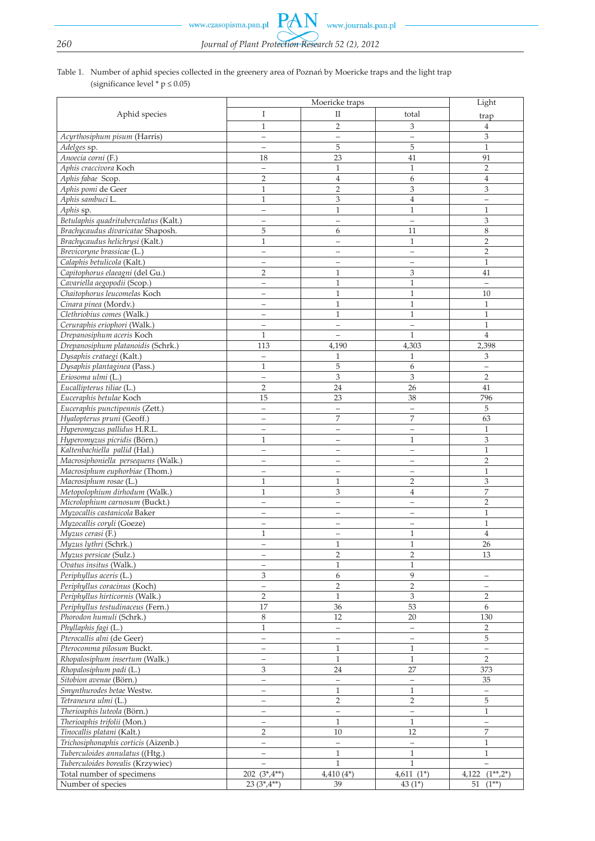www.czasopisma.pan.pl

# *260 Journal of Plant Protection Research 52 (2), 2012*

PA

N

# Table 1. Number of aphid species collected in the greenery area of Poznań by Moericke traps and the light trap (significance level  $*$  p  $\leq$  0.05)

|                                                          | Moericke traps                  |                          |                                     | Light                    |
|----------------------------------------------------------|---------------------------------|--------------------------|-------------------------------------|--------------------------|
| Aphid species                                            | I                               | $\mathbf{I}$             | total                               | trap                     |
|                                                          | $\mathbf{1}$                    | $\overline{2}$           | 3                                   | $\overline{4}$           |
| Acyrthosiphum pisum (Harris)                             | $\qquad \qquad -$               | $\equiv$                 | $\qquad \qquad -$                   | 3                        |
| Adelges sp.                                              | $\overline{\phantom{0}}$        | 5                        | 5                                   | $\mathbf{1}$             |
| Anoecia corni (F.)                                       | 18                              | 23                       | 41                                  | 91                       |
| Aphis craccivora Koch                                    | $\qquad \qquad -$               | $\mathbf{1}$             | $\mathbf{1}$                        | 2                        |
| Aphis fabae Scop.                                        | $\overline{2}$                  | $\overline{4}$           | 6                                   | $\overline{4}$           |
| Aphis pomi de Geer                                       | $\mathbf{1}$                    | $\overline{2}$           | 3                                   | 3                        |
| Aphis sambuci L.                                         | $\mathbf{1}$                    | 3                        | $\overline{4}$                      | $\qquad \qquad -$        |
| Aphis sp.                                                | $\qquad \qquad -$               | $\mathbf{1}$             | 1                                   | 1                        |
| Betulaphis quadrituberculatus (Kalt.)                    | $\qquad \qquad -$               | $\equiv$                 | $\equiv$                            | 3                        |
| Brachycaudus divaricatae Shaposh.                        | 5                               | 6                        | 11                                  | 8                        |
| Brachycaudus helichrysi (Kalt.)                          | $\mathbf{1}$                    | $\overline{\phantom{0}}$ | $\mathbf{1}$                        | $\overline{2}$           |
| Brevicoryne brassicae (L.)                               | $\qquad \qquad -$               | $\qquad \qquad -$        | $\overline{\phantom{0}}$            | $\overline{2}$           |
| Calaphis betulicola (Kalt.)                              | $\qquad \qquad -$               | $\qquad \qquad -$        | $\qquad \qquad -$                   | $\mathbf{1}$             |
| Capitophorus elaeagni (del Gu.)                          | $\overline{2}$                  | $\mathbf{1}$             | 3                                   | 41                       |
| Cavariella aegopodii (Scop.)                             | $\qquad \qquad -$               | $\mathbf{1}$             | $\mathbf{1}$                        | $\overline{\phantom{0}}$ |
| Chaitophorus leucomelas Koch                             | $\equiv$                        | $\mathbf{1}$             | $\mathbf{1}$                        | 10                       |
| Cinara pinea (Mordv.)                                    | $\overline{\phantom{0}}$        | $\,1\,$                  | $\mathbf{1}$                        | $\mathbf{1}$             |
| Clethriobius comes (Walk.)                               | $\overline{\phantom{0}}$        | $\mathbf{1}$             | $\mathbf{1}$                        | $\mathbf{1}$             |
| Ceruraphis eriophori (Walk.)                             | $\qquad \qquad -$               | $\qquad \qquad -$        | $\equiv$                            | $\mathbf{1}$             |
| Drepanosiphum aceris Koch                                | 1                               | $\equiv$                 | $\mathbf{1}$                        | $\overline{4}$           |
| Drepanosiphum platanoidis (Schrk.)                       | 113                             | 4,190                    | 4,303                               | 2,398                    |
| Dysaphis crataegi (Kalt.)                                | $\overline{\phantom{0}}$        | $\mathbf{1}$             | $\mathbf{1}$                        | 3                        |
| Dysaphis plantaginea (Pass.)                             | $\mathbf{1}$                    | 5                        | 6                                   | $\overline{\phantom{0}}$ |
| Eriosoma ulmi (L.)                                       | $\qquad \qquad -$               | 3                        | 3                                   | $\overline{2}$           |
| Eucallipterus tiliae (L.)                                | $\overline{2}$                  | 24                       | 26                                  | 41                       |
| Euceraphis betulae Koch                                  | 15                              | 23                       | 38                                  | 796                      |
| Euceraphis punctipennis (Zett.)                          | $\qquad \qquad -$               | $\qquad \qquad -$        | $\qquad \qquad -$                   | 5                        |
| Hyalopterus pruni (Geoff.)                               | $\qquad \qquad -$               | $\overline{7}$           | 7                                   | 63                       |
| Hyperomyzus pallidus H.R.L.                              |                                 | $\overline{\phantom{0}}$ | $\qquad \qquad -$                   | $\mathbf{1}$             |
| Hyperomyzus picridis (Börn.)                             | $\mathbf{1}$                    | $\overline{\phantom{0}}$ | $\mathbf{1}$                        | 3                        |
| Kaltenbachiella pallid (Hal.)                            | $\qquad \qquad -$               | $\qquad \qquad -$        | $\qquad \qquad -$                   | $\mathbf{1}$             |
| Macrosiphoniella persequens (Walk.)                      | $\overline{\phantom{0}}$        | $\overline{\phantom{0}}$ |                                     | $\overline{2}$           |
| Macrosiphum euphorbiae (Thom.)                           | $\qquad \qquad$<br>$\mathbf{1}$ | $\qquad \qquad -$        | $\qquad \qquad -$<br>$\overline{2}$ | $\mathbf{1}$<br>3        |
| Macrosiphum rosae (L.)<br>Metopolophium dirhodum (Walk.) | $\mathbf{1}$                    | $\mathbf{1}$<br>3        | $\overline{4}$                      | 7                        |
| Microlophium carnosum (Buckt.)                           | $\qquad \qquad -$               | $\overline{\phantom{0}}$ | $\qquad \qquad -$                   | $\overline{2}$           |
| Myzocallis castanicola Baker                             | $\qquad \qquad -$               | $\overline{\phantom{0}}$ | $\overline{\phantom{0}}$            | $\mathbf{1}$             |
| Myzocallis coryli (Goeze)                                | $\qquad \qquad -$               | $\overline{\phantom{m}}$ | $\qquad \qquad -$                   | $\mathbf{1}$             |
| Myzus cerasi (F.)                                        | $\mathbf{1}$                    | $\qquad \qquad -$        | 1                                   | $\overline{4}$           |
| Myzus lythri (Schrk.)                                    | $\qquad \qquad -$               | 1                        | 1                                   | 26                       |
| Myzus persicae (Sulz.)                                   | $\overline{\phantom{0}}$        | $\overline{2}$           | $\overline{2}$                      | 13                       |
| Ovatus insitus (Walk.)                                   | $\qquad \qquad -$               | $\mathbf{1}$             | $\mathbf{1}$                        |                          |
| Periphyllus aceris (L.)                                  | 3                               | 6                        | 9                                   | -                        |
| Periphyllus coracinus (Koch)                             | $\equiv$                        | $\overline{2}$           | $\overline{2}$                      | $\qquad \qquad -$        |
| Periphyllus hirticornis (Walk.)                          | $\overline{2}$                  | $\mathbf{1}$             | 3                                   | $\overline{2}$           |
| Periphyllus testudinaceus (Fern.)                        | 17                              | 36                       | 53                                  | 6                        |
| Phorodon humuli (Schrk.)                                 | 8                               | 12                       | 20                                  | 130                      |
| Phyllaphis fagi (L.)                                     | $\mathbf{1}$                    | $\equiv$                 | $\overline{\phantom{0}}$            | $\overline{2}$           |
| Pterocallis alni (de Geer)                               | $\equiv$                        | $\overline{\phantom{0}}$ | $\overline{\phantom{0}}$            | 5                        |
| Pterocomma pilosum Buckt.                                | $\qquad \qquad -$               | $\mathbf{1}$             | $\mathbf{1}$                        | $\qquad \qquad -$        |
| Rhopalosiphum insertum (Walk.)                           | $\qquad \qquad -$               | $\mathbf{1}$             | $\mathbf{1}$                        | $\overline{2}$           |
| Rhopalosiphum padi (L.)                                  | 3                               | 24                       | 27                                  | 373                      |
| Sitobion avenae (Börn.)                                  | $\overline{\phantom{0}}$        | $\equiv$                 | $\equiv$                            | 35                       |
| Smynthurodes betae Westw.                                | $\qquad \qquad -$               | $\mathbf{1}$             | $\mathbf{1}$                        | $\overline{\phantom{a}}$ |
| Tetraneura ulmi (L.)                                     | $\qquad \qquad -$               | $\overline{c}$           | $\overline{2}$                      | 5                        |
| Therioaphis luteola (Börn.)                              | $\qquad \qquad -$               | $\overline{\phantom{0}}$ | $\equiv$                            | $\mathbf{1}$             |
| Therioaphis trifolii (Mon.)                              | $\equiv$                        | $\mathbf{1}$             | $\mathbf{1}$                        | $\overline{\phantom{0}}$ |
| Tinocallis platani (Kalt.)                               | 2                               | 10                       | 12                                  | 7                        |
| Trichosiphonaphis corticis (Aizenb.)                     | $\equiv$                        | $\equiv$                 | $\equiv$                            | 1                        |
| Tuberculoides annulatus ((Htg.)                          | $\qquad \qquad -$               | $\mathbf{1}$             | $\mathbf{1}$                        | $\mathbf{1}$             |
| Tuberculoides borealis (Krzywiec)                        | $\overline{\phantom{0}}$        | $\mathbf{1}$             | $\mathbf{1}$                        | $\equiv$                 |
| Total number of specimens                                | $202(3^*,4^{**})$               | $4,410(4^*)$             | $4,611(1*)$                         | $(1^{**},2^*)$<br>4,122  |
| Number of species                                        | $23(3^*,4^{**})$                | 39                       | 43 $(1^*)$                          | $51(1^{**})$             |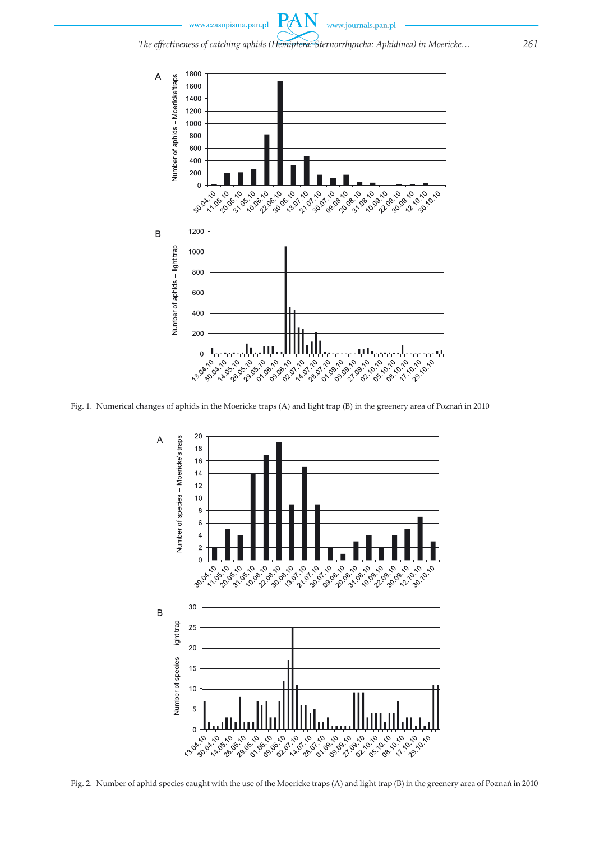$P_{\rm d}$ www.czasopisma.pan.pl www.journals.pan.pl *The effectiveness of catching aphids (Hemiptera: Sternorrhyncha: Aphidinea) in Moericke 261*



Fig. 1. Numerical changes of aphids in the Moericke traps (A) and light trap (B) in the greenery area of Poznań in 2010



Fig. 2. Number of aphid species caught with the use of the Moericke traps (A) and light trap (B) in the greenery area of Poznań in 2010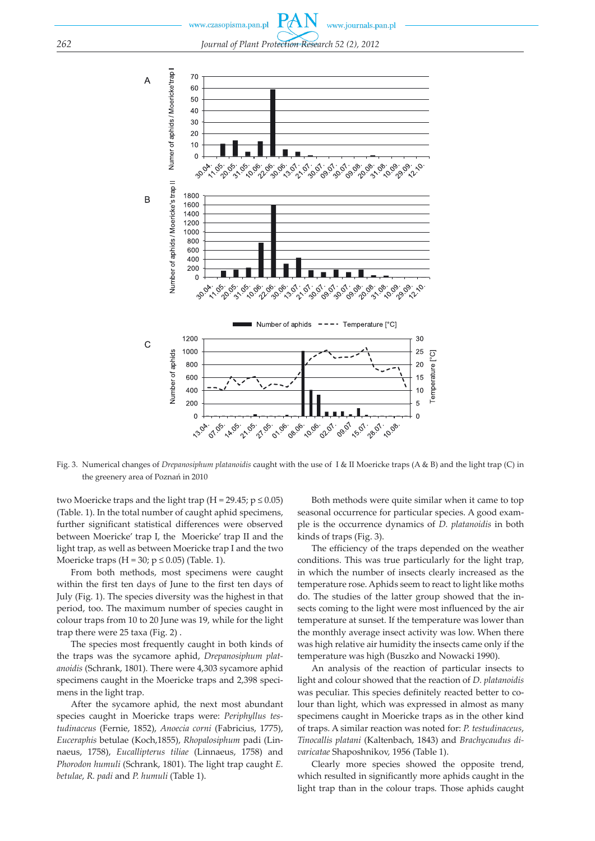www.czasopisma.pan.pl www.journals.pan.pl *262 Journal of Plant Protection Research 52 (2), 2012*



Fig. 3. Numerical changes of *Drepanosiphum platanoidis* caught with the use of I & II Moericke traps (A & B) and the light trap (C) in the greenery area of Poznań in 2010

two Moericke traps and the light trap (H = 29.45;  $p \le 0.05$ ) (Table. 1). In the total number of caught aphid specimens, further significant statistical differences were observed between Moericke' trap I, the Moericke' trap II and the light trap, as well as between Moericke trap I and the two Moericke traps  $(H = 30; p \le 0.05)$  (Table. 1).

From both methods, most specimens were caught within the first ten days of June to the first ten days of July (Fig. 1). The species diversity was the highest in that period, too. The maximum number of species caught in colour traps from 10 to 20 June was 19, while for the light trap there were 25 taxa (Fig. 2) .

The species most frequently caught in both kinds of the traps was the sycamore aphid, *Drepanosiphum platanoidis* (Schrank, 1801). There were 4,303 sycamore aphid specimens caught in the Moericke traps and 2,398 specimens in the light trap.

After the sycamore aphid, the next most abundant species caught in Moericke traps were: *Periphyllus testudinaceus* (Fernie, 1852), *Anoecia corni* (Fabricius, 1775), *Euceraphis* betulae (Koch,1855), *Rhopalosiphum* padi (Linnaeus, 1758), *Eucallipterus tiliae* (Linnaeus, 1758) and *Phorodon humuli* (Schrank, 1801). The light trap caught *E. betulae*, *R. padi* and *P. humuli* (Table 1).

Both methods were quite similar when it came to top seasonal occurrence for particular species. A good example is the occurrence dynamics of *D. platanoidis* in both kinds of traps (Fig. 3).

The efficiency of the traps depended on the weather conditions. This was true particularly for the light trap, in which the number of insects clearly increased as the temperature rose. Aphids seem to react to light like moths do. The studies of the latter group showed that the insects coming to the light were most influenced by the air temperature at sunset. If the temperature was lower than the monthly average insect activity was low. When there was high relative air humidity the insects came only if the temperature was high (Buszko and Nowacki 1990).

An analysis of the reaction of particular insects to light and colour showed that the reaction of *D. platanoidis*  was peculiar. This species definitely reacted better to colour than light, which was expressed in almost as many specimens caught in Moericke traps as in the other kind of traps. A similar reaction was noted for: *P. testudinaceus*, *Tinocallis platani* (Kaltenbach, 1843) and *Brachycaudus divaricatae* Shaposhnikov, 1956 (Table 1).

Clearly more species showed the opposite trend, which resulted in significantly more aphids caught in the light trap than in the colour traps. Those aphids caught